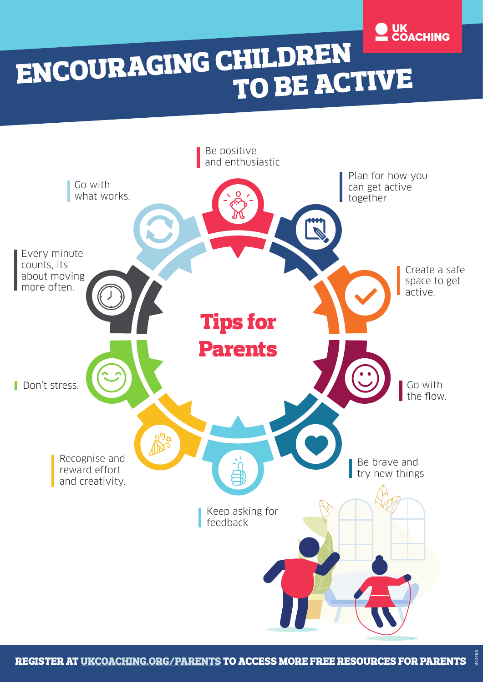

# ENCOURAGING CHILDREN TO BE ACTIVE